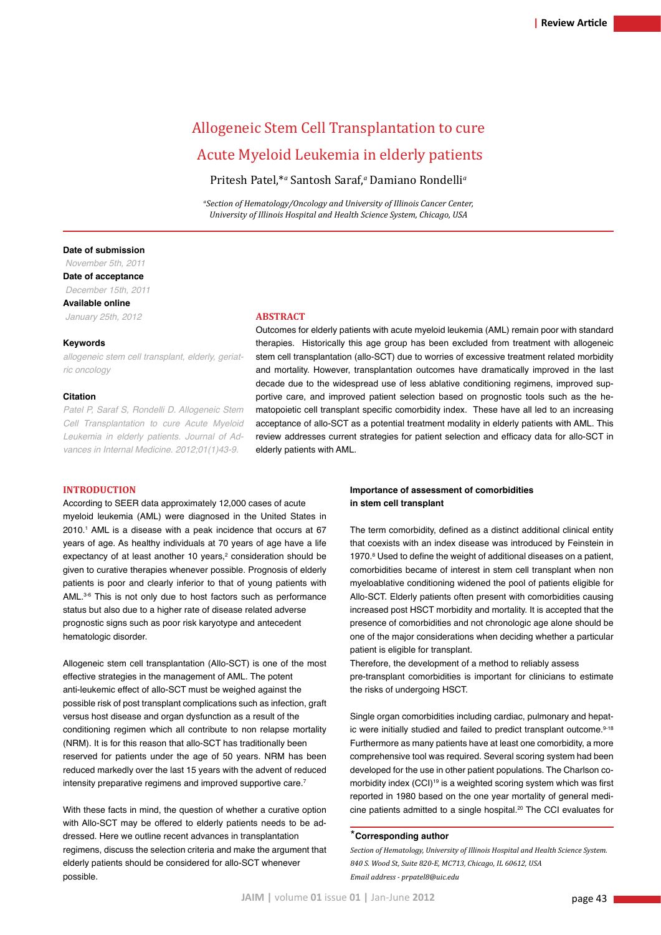# Allogeneic Stem Cell Transplantation to cure Acute Myeloid Leukemia in elderly patients

Pritesh Patel,\**<sup>a</sup>* Santosh Saraf,*<sup>a</sup>* Damiano Rondelli*<sup>a</sup>*

*a Section of Hematology/Oncology and University of Illinois Cancer Center, University of Illinois Hospital and Health Science System, Chicago, USA*

## **Date of submission**

 *November 5th, 2011* **Date of acceptance**  *December 15th, 2011* **Available online**  *January 25th, 2012*

#### **Keywords**

*allogeneic stem cell transplant, elderly, geriatric oncology*

## **Citation**

*Patel P, Saraf S, Rondelli D. Allogeneic Stem Cell Transplantation to cure Acute Myeloid Leukemia in elderly patients. Journal of Advances in Internal Medicine. 2012;01(1)43-9.*

#### **Abstract**

Outcomes for elderly patients with acute myeloid leukemia (AML) remain poor with standard therapies. Historically this age group has been excluded from treatment with allogeneic stem cell transplantation (allo-SCT) due to worries of excessive treatment related morbidity and mortality. However, transplantation outcomes have dramatically improved in the last decade due to the widespread use of less ablative conditioning regimens, improved supportive care, and improved patient selection based on prognostic tools such as the hematopoietic cell transplant specific comorbidity index. These have all led to an increasing acceptance of allo-SCT as a potential treatment modality in elderly patients with AML. This review addresses current strategies for patient selection and efficacy data for allo-SCT in elderly patients with AML.

## **Introduction**

According to SEER data approximately 12,000 cases of acute myeloid leukemia (AML) were diagnosed in the United States in 2010.1 AML is a disease with a peak incidence that occurs at 67 years of age. As healthy individuals at 70 years of age have a life expectancy of at least another 10 years,<sup>2</sup> consideration should be given to curative therapies whenever possible. Prognosis of elderly patients is poor and clearly inferior to that of young patients with AML.<sup>3-6</sup> This is not only due to host factors such as performance status but also due to a higher rate of disease related adverse prognostic signs such as poor risk karyotype and antecedent hematologic disorder.

Allogeneic stem cell transplantation (Allo-SCT) is one of the most effective strategies in the management of AML. The potent anti-leukemic effect of allo-SCT must be weighed against the possible risk of post transplant complications such as infection, graft versus host disease and organ dysfunction as a result of the conditioning regimen which all contribute to non relapse mortality (NRM). It is for this reason that allo-SCT has traditionally been reserved for patients under the age of 50 years. NRM has been reduced markedly over the last 15 years with the advent of reduced intensity preparative regimens and improved supportive care.<sup>7</sup>

With these facts in mind, the question of whether a curative option with Allo-SCT may be offered to elderly patients needs to be addressed. Here we outline recent advances in transplantation regimens, discuss the selection criteria and make the argument that elderly patients should be considered for allo-SCT whenever possible.

# **Importance of assessment of comorbidities in stem cell transplant**

The term comorbidity, defined as a distinct additional clinical entity that coexists with an index disease was introduced by Feinstein in 1970.<sup>8</sup> Used to define the weight of additional diseases on a patient, comorbidities became of interest in stem cell transplant when non myeloablative conditioning widened the pool of patients eligible for Allo-SCT. Elderly patients often present with comorbidities causing increased post HSCT morbidity and mortality. It is accepted that the presence of comorbidities and not chronologic age alone should be one of the major considerations when deciding whether a particular patient is eligible for transplant.

Therefore, the development of a method to reliably assess pre-transplant comorbidities is important for clinicians to estimate the risks of undergoing HSCT.

Single organ comorbidities including cardiac, pulmonary and hepatic were initially studied and failed to predict transplant outcome.<sup>9-18</sup> Furthermore as many patients have at least one comorbidity, a more comprehensive tool was required. Several scoring system had been developed for the use in other patient populations. The Charlson comorbidity index (CCI)<sup>19</sup> is a weighted scoring system which was first reported in 1980 based on the one year mortality of general medicine patients admitted to a single hospital.<sup>20</sup> The CCI evaluates for

## \***Corresponding author**

*Section of Hematology, University of Illinois Hospital and Health Science System. 840 S. Wood St, Suite 820-E, MC713, Chicago, IL 60612, USA Email address - prpatel8@uic.edu*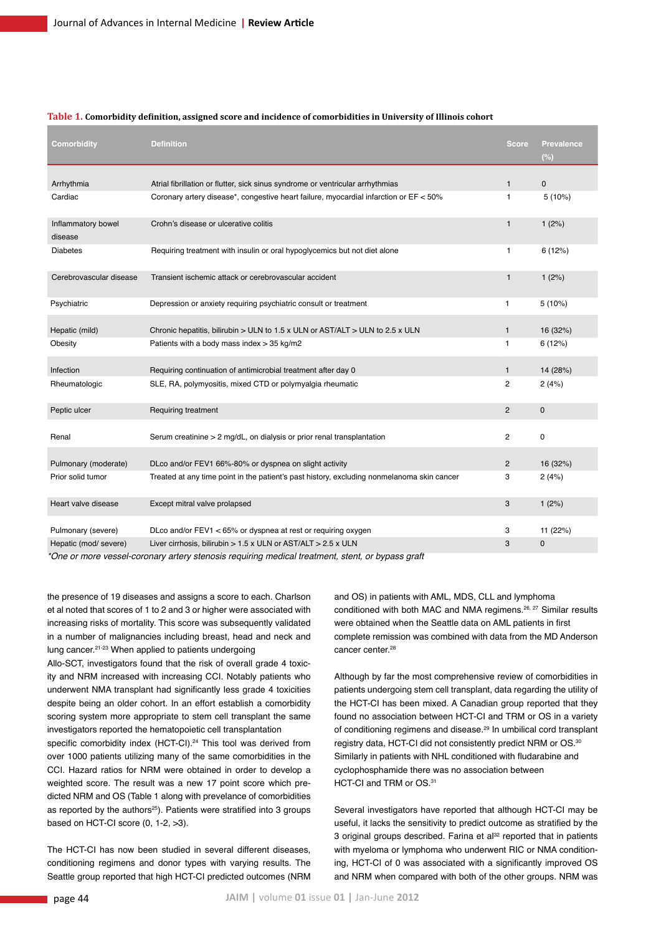| Comorbidity                   | <b>Definition</b>                                                                          | <b>Score</b>   | <b>Prevalence</b><br>$(\%)$ |
|-------------------------------|--------------------------------------------------------------------------------------------|----------------|-----------------------------|
| Arrhythmia                    | Atrial fibrillation or flutter, sick sinus syndrome or ventricular arrhythmias             | $\mathbf{1}$   | $\mathbf 0$                 |
| Cardiac                       | Coronary artery disease*, congestive heart failure, myocardial infarction or EF < 50%      | $\mathbf{1}$   | 5(10%)                      |
| Inflammatory bowel<br>disease | Crohn's disease or ulcerative colitis                                                      | $\mathbf{1}$   | 1(2%)                       |
| <b>Diabetes</b>               | Requiring treatment with insulin or oral hypoglycemics but not diet alone                  | $\mathbf{1}$   | 6(12%)                      |
| Cerebrovascular disease       | Transient ischemic attack or cerebrovascular accident                                      | $\mathbf{1}$   | 1(2%)                       |
| Psychiatric                   | Depression or anxiety requiring psychiatric consult or treatment                           | $\mathbf{1}$   | 5(10%)                      |
| Hepatic (mild)                | Chronic hepatitis, bilirubin > ULN to 1.5 x ULN or AST/ALT > ULN to 2.5 x ULN              | $\mathbf{1}$   | 16 (32%)                    |
| Obesity                       | Patients with a body mass index $>$ 35 kg/m2                                               | 1              | 6(12%)                      |
| Infection                     | Requiring continuation of antimicrobial treatment after day 0                              | $\mathbf{1}$   | 14 (28%)                    |
| Rheumatologic                 | SLE, RA, polymyositis, mixed CTD or polymyalgia rheumatic                                  | $\overline{2}$ | 2(4%)                       |
| Peptic ulcer                  | <b>Requiring treatment</b>                                                                 | $\overline{2}$ | $\mathbf{0}$                |
| Renal                         | Serum creatinine > 2 mg/dL, on dialysis or prior renal transplantation                     | $\overline{2}$ | 0                           |
| Pulmonary (moderate)          | DLco and/or FEV1 66%-80% or dyspnea on slight activity                                     | $\overline{2}$ | 16 (32%)                    |
| Prior solid tumor             | Treated at any time point in the patient's past history, excluding nonmelanoma skin cancer | 3              | 2(4%)                       |
| Heart valve disease           | Except mitral valve prolapsed                                                              | 3              | 1(2%)                       |
| Pulmonary (severe)            | DLco and/or FEV1 < 65% or dyspnea at rest or requiring oxygen                              | 3              | 11 (22%)                    |
| Hepatic (mod/ severe)         | Liver cirrhosis, bilirubin > 1.5 x ULN or AST/ALT > 2.5 x ULN                              | 3              | $\mathbf{0}$                |

#### **Table 1. Comorbidity definition, assigned score and incidence of comorbidities in University of Illinois cohort**

*\*One or more vessel-coronary artery stenosis requiring medical treatment, stent, or bypass graft*

the presence of 19 diseases and assigns a score to each. Charlson et al noted that scores of 1 to 2 and 3 or higher were associated with increasing risks of mortality. This score was subsequently validated in a number of malignancies including breast, head and neck and lung cancer.21-23 When applied to patients undergoing

Allo-SCT, investigators found that the risk of overall grade 4 toxicity and NRM increased with increasing CCI. Notably patients who underwent NMA transplant had significantly less grade 4 toxicities despite being an older cohort. In an effort establish a comorbidity scoring system more appropriate to stem cell transplant the same investigators reported the hematopoietic cell transplantation

specific comorbidity index (HCT-CI).<sup>24</sup> This tool was derived from over 1000 patients utilizing many of the same comorbidities in the CCI. Hazard ratios for NRM were obtained in order to develop a weighted score. The result was a new 17 point score which predicted NRM and OS (Table 1 along with prevelance of comorbidities as reported by the authors<sup>25</sup>). Patients were stratified into 3 groups based on HCT-CI score (0, 1-2, >3).

The HCT-CI has now been studied in several different diseases, conditioning regimens and donor types with varying results. The Seattle group reported that high HCT-CI predicted outcomes (NRM and OS) in patients with AML, MDS, CLL and lymphoma conditioned with both MAC and NMA regimens.26, 27 Similar results were obtained when the Seattle data on AML patients in first complete remission was combined with data from the MD Anderson cancer center<sup>28</sup>

Although by far the most comprehensive review of comorbidities in patients undergoing stem cell transplant, data regarding the utility of the HCT-CI has been mixed. A Canadian group reported that they found no association between HCT-CI and TRM or OS in a variety of conditioning regimens and disease.29 In umbilical cord transplant registry data, HCT-CI did not consistently predict NRM or OS.30 Similarly in patients with NHL conditioned with fludarabine and cyclophosphamide there was no association between HCT-CI and TRM or OS.<sup>31</sup>

Several investigators have reported that although HCT-CI may be useful, it lacks the sensitivity to predict outcome as stratified by the 3 original groups described. Farina et al<sup>32</sup> reported that in patients with myeloma or lymphoma who underwent RIC or NMA conditioning, HCT-CI of 0 was associated with a significantly improved OS and NRM when compared with both of the other groups. NRM was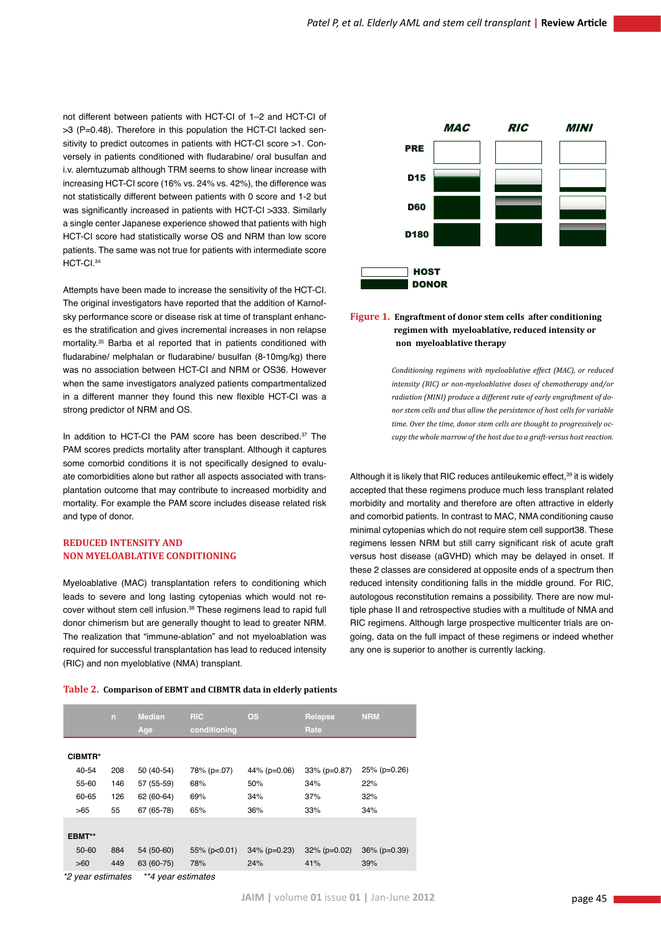not different between patients with HCT-CI of 1–2 and HCT-CI of >3 (P=0.48). Therefore in this population the HCT-CI lacked sensitivity to predict outcomes in patients with HCT-CI score >1. Conversely in patients conditioned with fludarabine/ oral busulfan and i.v. alemtuzumab although TRM seems to show linear increase with increasing HCT-CI score (16% vs. 24% vs. 42%), the difference was not statistically different between patients with 0 score and 1-2 but was significantly increased in patients with HCT-CI >333. Similarly a single center Japanese experience showed that patients with high HCT-CI score had statistically worse OS and NRM than low score patients. The same was not true for patients with intermediate score HCT-CI.34

Attempts have been made to increase the sensitivity of the HCT-CI. The original investigators have reported that the addition of Karnofsky performance score or disease risk at time of transplant enhances the stratification and gives incremental increases in non relapse mortality.35 Barba et al reported that in patients conditioned with fludarabine/ melphalan or fludarabine/ busulfan (8-10mg/kg) there was no association between HCT-CI and NRM or OS36. However when the same investigators analyzed patients compartmentalized in a different manner they found this new flexible HCT-CI was a strong predictor of NRM and OS.

In addition to HCT-CI the PAM score has been described.<sup>37</sup> The PAM scores predicts mortality after transplant. Although it captures some comorbid conditions it is not specifically designed to evaluate comorbidities alone but rather all aspects associated with transplantation outcome that may contribute to increased morbidity and mortality. For example the PAM score includes disease related risk and type of donor.

# **Reduced intensity and non myeloablative conditioning**

Myeloablative (MAC) transplantation refers to conditioning which leads to severe and long lasting cytopenias which would not recover without stem cell infusion.38 These regimens lead to rapid full donor chimerism but are generally thought to lead to greater NRM. The realization that "immune-ablation" and not myeloablation was required for successful transplantation has lead to reduced intensity (RIC) and non myeloblative (NMA) transplant.

**Table 2. Comparison of EBMT and CIBMTR data in elderly patients**





# **Figure 1. Engraftment of donor stem cells after conditioning regimen with myeloablative, reduced intensity or non myeloablative therapy**

*Conditioning regimens with myeloablative effect (MAC), or reduced intensity (RIC) or non-myeloablative doses of chemotherapy and/or radiation (MINI) produce a different rate of early engraftment of donor stem cells and thus allow the persistence of host cells for variable time. Over the time, donor stem cells are thought to progressively occupy the whole marrow of the host due to a graft-versus host reaction.*

Although it is likely that RIC reduces antileukemic effect,<sup>39</sup> it is widely accepted that these regimens produce much less transplant related morbidity and mortality and therefore are often attractive in elderly and comorbid patients. In contrast to MAC, NMA conditioning cause minimal cytopenias which do not require stem cell support38. These regimens lessen NRM but still carry significant risk of acute graft versus host disease (aGVHD) which may be delayed in onset. If these 2 classes are considered at opposite ends of a spectrum then reduced intensity conditioning falls in the middle ground. For RIC, autologous reconstitution remains a possibility. There are now multiple phase II and retrospective studies with a multitude of NMA and RIC regimens. Although large prospective multicenter trials are ongoing, data on the full impact of these regimens or indeed whether any one is superior to another is currently lacking.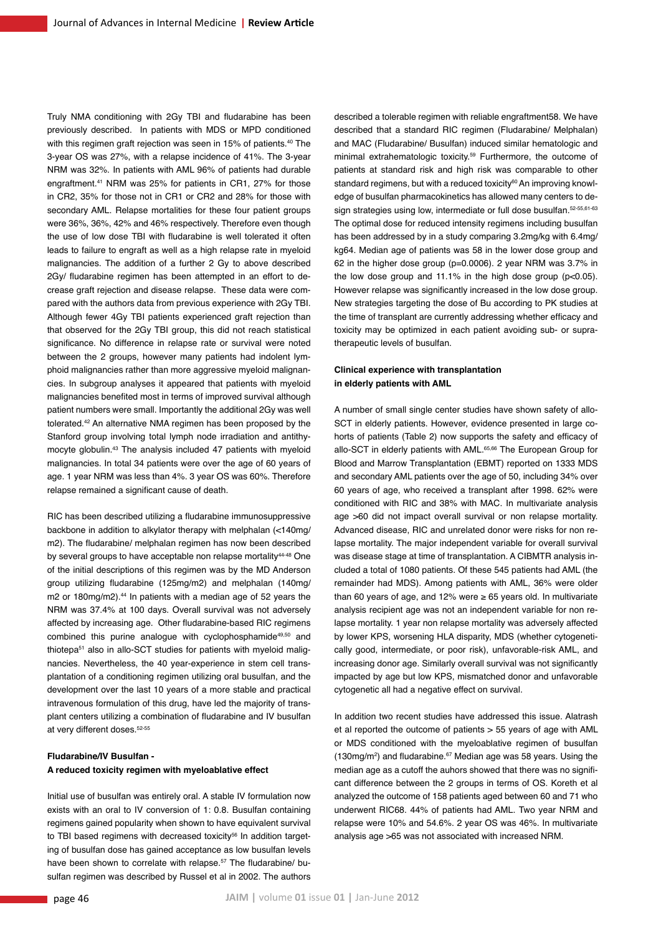Truly NMA conditioning with 2Gy TBI and fludarabine has been previously described. In patients with MDS or MPD conditioned with this regimen graft rejection was seen in 15% of patients.<sup>40</sup> The 3-year OS was 27%, with a relapse incidence of 41%. The 3-year NRM was 32%. In patients with AML 96% of patients had durable engraftment.41 NRM was 25% for patients in CR1, 27% for those in CR2, 35% for those not in CR1 or CR2 and 28% for those with secondary AML. Relapse mortalities for these four patient groups were 36%, 36%, 42% and 46% respectively. Therefore even though the use of low dose TBI with fludarabine is well tolerated it often leads to failure to engraft as well as a high relapse rate in myeloid malignancies. The addition of a further 2 Gy to above described 2Gy/ fludarabine regimen has been attempted in an effort to decrease graft rejection and disease relapse. These data were compared with the authors data from previous experience with 2Gy TBI. Although fewer 4Gy TBI patients experienced graft rejection than that observed for the 2Gy TBI group, this did not reach statistical significance. No difference in relapse rate or survival were noted between the 2 groups, however many patients had indolent lymphoid malignancies rather than more aggressive myeloid malignancies. In subgroup analyses it appeared that patients with myeloid malignancies benefited most in terms of improved survival although patient numbers were small. Importantly the additional 2Gy was well tolerated.42 An alternative NMA regimen has been proposed by the Stanford group involving total lymph node irradiation and antithymocyte globulin.43 The analysis included 47 patients with myeloid malignancies. In total 34 patients were over the age of 60 years of age. 1 year NRM was less than 4%. 3 year OS was 60%. Therefore relapse remained a significant cause of death.

RIC has been described utilizing a fludarabine immunosuppressive backbone in addition to alkylator therapy with melphalan (<140mg/ m2). The fludarabine/ melphalan regimen has now been described by several groups to have acceptable non relapse mortality<sup>44-48</sup> One of the initial descriptions of this regimen was by the MD Anderson group utilizing fludarabine (125mg/m2) and melphalan (140mg/ m2 or 180mg/m2).<sup>44</sup> In patients with a median age of 52 years the NRM was 37.4% at 100 days. Overall survival was not adversely affected by increasing age. Other fludarabine-based RIC regimens combined this purine analogue with cyclophosphamide<sup>49,50</sup> and thiotepa<sup>51</sup> also in allo-SCT studies for patients with myeloid malignancies. Nevertheless, the 40 year-experience in stem cell transplantation of a conditioning regimen utilizing oral busulfan, and the development over the last 10 years of a more stable and practical intravenous formulation of this drug, have led the majority of transplant centers utilizing a combination of fludarabine and IV busulfan at very different doses.52-55

# **Fludarabine/IV Busulfan - A reduced toxicity regimen with myeloablative effect**

Initial use of busulfan was entirely oral. A stable IV formulation now exists with an oral to IV conversion of 1: 0.8. Busulfan containing regimens gained popularity when shown to have equivalent survival to TBI based regimens with decreased toxicity<sup>56</sup> In addition targeting of busulfan dose has gained acceptance as low busulfan levels have been shown to correlate with relapse.<sup>57</sup> The fludarabine/ busulfan regimen was described by Russel et al in 2002. The authors

described a tolerable regimen with reliable engraftment58. We have described that a standard RIC regimen (Fludarabine/ Melphalan) and MAC (Fludarabine/ Busulfan) induced similar hematologic and minimal extrahematologic toxicity.59 Furthermore, the outcome of patients at standard risk and high risk was comparable to other standard regimens, but with a reduced toxicity<sup>60</sup> An improving knowledge of busulfan pharmacokinetics has allowed many centers to design strategies using low, intermediate or full dose busulfan. 52-55,61-63 The optimal dose for reduced intensity regimens including busulfan has been addressed by in a study comparing 3.2mg/kg with 6.4mg/ kg64. Median age of patients was 58 in the lower dose group and 62 in the higher dose group (p=0.0006). 2 year NRM was 3.7% in the low dose group and  $11.1\%$  in the high dose group ( $p<0.05$ ). However relapse was significantly increased in the low dose group. New strategies targeting the dose of Bu according to PK studies at the time of transplant are currently addressing whether efficacy and toxicity may be optimized in each patient avoiding sub- or supratherapeutic levels of busulfan.

# **Clinical experience with transplantation in elderly patients with AML**

A number of small single center studies have shown safety of allo-SCT in elderly patients. However, evidence presented in large cohorts of patients (Table 2) now supports the safety and efficacy of allo-SCT in elderly patients with AML.<sup>65,66</sup> The European Group for Blood and Marrow Transplantation (EBMT) reported on 1333 MDS and secondary AML patients over the age of 50, including 34% over 60 years of age, who received a transplant after 1998. 62% were conditioned with RIC and 38% with MAC. In multivariate analysis age >60 did not impact overall survival or non relapse mortality. Advanced disease, RIC and unrelated donor were risks for non relapse mortality. The major independent variable for overall survival was disease stage at time of transplantation. A CIBMTR analysis included a total of 1080 patients. Of these 545 patients had AML (the remainder had MDS). Among patients with AML, 36% were older than 60 years of age, and 12% were ≥ 65 years old. In multivariate analysis recipient age was not an independent variable for non relapse mortality. 1 year non relapse mortality was adversely affected by lower KPS, worsening HLA disparity, MDS (whether cytogenetically good, intermediate, or poor risk), unfavorable-risk AML, and increasing donor age. Similarly overall survival was not significantly impacted by age but low KPS, mismatched donor and unfavorable cytogenetic all had a negative effect on survival.

In addition two recent studies have addressed this issue. Alatrash et al reported the outcome of patients > 55 years of age with AML or MDS conditioned with the myeloablative regimen of busulfan  $(130mg/m<sup>2</sup>)$  and fludarabine.<sup>67</sup> Median age was 58 years. Using the median age as a cutoff the auhors showed that there was no significant difference between the 2 groups in terms of OS. Koreth et al analyzed the outcome of 158 patients aged between 60 and 71 who underwent RIC68. 44% of patients had AML. Two year NRM and relapse were 10% and 54.6%. 2 year OS was 46%. In multivariate analysis age >65 was not associated with increased NRM.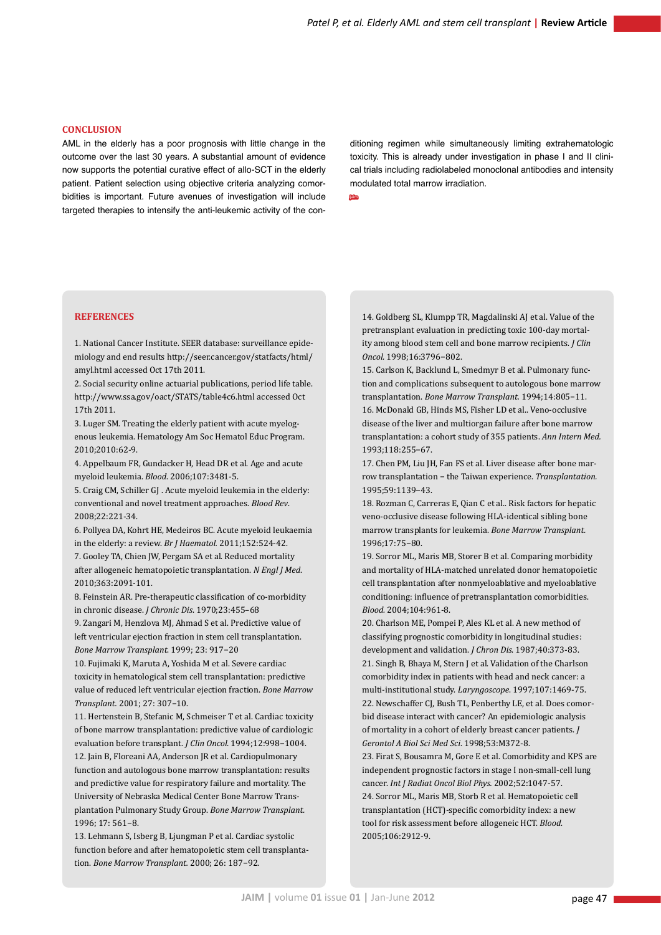#### **Conclusion**

AML in the elderly has a poor prognosis with little change in the outcome over the last 30 years. A substantial amount of evidence now supports the potential curative effect of allo-SCT in the elderly patient. Patient selection using objective criteria analyzing comorbidities is important. Future avenues of investigation will include targeted therapies to intensify the anti-leukemic activity of the con-

ditioning regimen while simultaneously limiting extrahematologic toxicity. This is already under investigation in phase I and II clinical trials including radiolabeled monoclonal antibodies and intensity modulated total marrow irradiation.

jaim

# **References**

1. National Cancer Institute. SEER database: surveillance epidemiology and end results http://seer.cancer.gov/statfacts/html/ amyl.html accessed Oct 17th 2011.

2. Social security online actuarial publications, period life table. http://www.ssa.gov/oact/STATS/table4c6.html accessed Oct 17th 2011.

3. Luger SM. Treating the elderly patient with acute myelogenous leukemia. Hematology Am Soc Hematol Educ Program. 2010;2010:62-9.

4. Appelbaum FR, Gundacker H, Head DR et al. Age and acute myeloid leukemia. *Blood*. 2006;107:3481-5.

5. Craig CM, Schiller GJ . Acute myeloid leukemia in the elderly: conventional and novel treatment approaches. *Blood Rev*. 2008;22:221-34.

6. Pollyea DA, Kohrt HE, Medeiros BC. Acute myeloid leukaemia in the elderly: a review. *Br J Haematol.* 2011;152:524-42. 7. Gooley TA, Chien JW, Pergam SA et al. Reduced mortality after allogeneic hematopoietic transplantation. *N Engl J Med*. 2010;363:2091-101.

8. Feinstein AR. Pre-therapeutic classification of co-morbidity in chronic disease. *J Chronic Dis*. 1970;23:455–68

9. Zangari M, Henzlova MJ, Ahmad S et al. Predictive value of left ventricular ejection fraction in stem cell transplantation. *Bone Marrow Transplant*. 1999; 23: 917−20

10. Fujimaki K, Maruta A, Yoshida M et al. Severe cardiac toxicity in hematological stem cell transplantation: predictive value of reduced left ventricular ejection fraction. *Bone Marrow Transplant.* 2001; 27: 307−10.

11. Hertenstein B, Stefanic M, Schmeiser T et al. Cardiac toxicity of bone marrow transplantation: predictive value of cardiologic evaluation before transplant. *J Clin Oncol.* 1994;12:998−1004. 12. Jain B, Floreani AA, Anderson JR et al. Cardiopulmonary function and autologous bone marrow transplantation: results and predictive value for respiratory failure and mortality. The University of Nebraska Medical Center Bone Marrow Transplantation Pulmonary Study Group. *Bone Marrow Transplant.*  1996; 17: 561−8.

13. Lehmann S, Isberg B, Ljungman P et al. Cardiac systolic function before and after hematopoietic stem cell transplantation. *Bone Marrow Transplant.* 2000; 26: 187−92.

14. Goldberg SL, Klumpp TR, Magdalinski AJ et al. Value of the pretransplant evaluation in predicting toxic 100-day mortality among blood stem cell and bone marrow recipients. *J Clin Oncol.* 1998;16:3796−802.

15. Carlson K, Backlund L, Smedmyr B et al. Pulmonary function and complications subsequent to autologous bone marrow transplantation. *Bone Marrow Transplant.* 1994;14:805−11. 16. McDonald GB, Hinds MS, Fisher LD et al.. Veno-occlusive disease of the liver and multiorgan failure after bone marrow transplantation: a cohort study of 355 patients. *Ann Intern Med.* 1993;118:255−67.

17. Chen PM, Liu JH, Fan FS et al. Liver disease after bone marrow transplantation − the Taiwan experience. *Transplantation.* 1995;59:1139−43.

18. Rozman C, Carreras E, Qian C et al.. Risk factors for hepatic veno-occlusive disease following HLA-identical sibling bone marrow transplants for leukemia. *Bone Marrow Transplant.*  1996;17:75−80.

19. Sorror ML, Maris MB, Storer B et al. Comparing morbidity and mortality of HLA-matched unrelated donor hematopoietic cell transplantation after nonmyeloablative and myeloablative conditioning: influence of pretransplantation comorbidities. *Blood.* 2004;104:961-8.

20. Charlson ME, Pompei P, Ales KL et al. A new method of classifying prognostic comorbidity in longitudinal studies: development and validation. *J Chron Dis*. 1987;40:373-83. 21. Singh B, Bhaya M, Stern J et al. Validation of the Charlson comorbidity index in patients with head and neck cancer: a multi-institutional study. *Laryngoscope*. 1997;107:1469-75. 22. Newschaffer CJ, Bush TL, Penberthy LE, et al. Does comorbid disease interact with cancer? An epidemiologic analysis of mortality in a cohort of elderly breast cancer patients. *J Gerontol A Biol Sci Med Sci*. 1998;53:M372-8.

23. Firat S, Bousamra M, Gore E et al. Comorbidity and KPS are independent prognostic factors in stage I non-small-cell lung cancer. *Int J Radiat Oncol Biol Phys.* 2002;52:1047-57. 24. Sorror ML, Maris MB, Storb R et al. Hematopoietic cell transplantation (HCT)-specific comorbidity index: a new tool for risk assessment before allogeneic HCT. *Blood*. 2005;106:2912-9.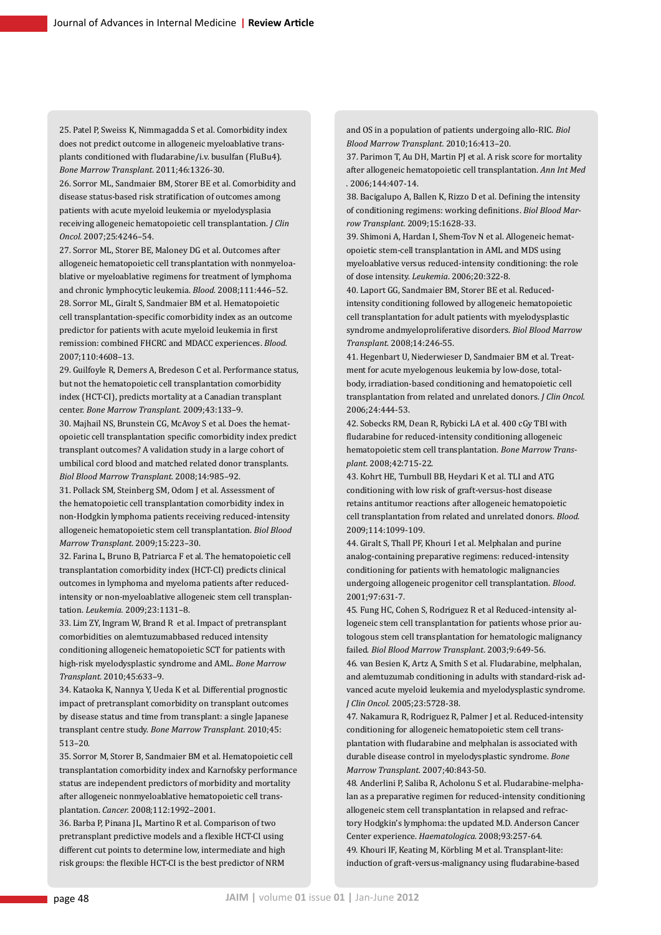25. Patel P, Sweiss K, Nimmagadda S et al. Comorbidity index does not predict outcome in allogeneic myeloablative transplants conditioned with fludarabine/i.v. busulfan (FluBu4). *Bone Marrow Transplant.* 2011;46:1326-30.

26. Sorror ML, Sandmaier BM, Storer BE et al. Comorbidity and disease status-based risk stratification of outcomes among patients with acute myeloid leukemia or myelodysplasia receiving allogeneic hematopoietic cell transplantation. *J Clin Oncol.* 2007;25:4246–54.

27. Sorror ML, Storer BE, Maloney DG et al. Outcomes after allogeneic hematopoietic cell transplantation with nonmyeloablative or myeloablative regimens for treatment of lymphoma and chronic lymphocytic leukemia. *Blood.* 2008;111:446–52. 28. Sorror ML, Giralt S, Sandmaier BM et al. Hematopoietic cell transplantation-specific comorbidity index as an outcome predictor for patients with acute myeloid leukemia in first remission: combined FHCRC and MDACC experiences. *Blood.* 2007;110:4608–13.

29. Guilfoyle R, Demers A, Bredeson C et al. Performance status, but not the hematopoietic cell transplantation comorbidity index (HCT-CI), predicts mortality at a Canadian transplant center. *Bone Marrow Transplant.* 2009;43:133–9.

30. Majhail NS, Brunstein CG, McAvoy S et al. Does the hematopoietic cell transplantation specific comorbidity index predict transplant outcomes? A validation study in a large cohort of umbilical cord blood and matched related donor transplants. *Biol Blood Marrow Transplant.* 2008;14:985–92.

31. Pollack SM, Steinberg SM, Odom J et al. Assessment of the hematopoietic cell transplantation comorbidity index in non-Hodgkin lymphoma patients receiving reduced-intensity allogeneic hematopoietic stem cell transplantation. *Biol Blood Marrow Transplant.* 2009;15:223–30.

32. Farina L, Bruno B, Patriarca F et al. The hematopoietic cell transplantation comorbidity index (HCT-CI) predicts clinical outcomes in lymphoma and myeloma patients after reducedintensity or non-myeloablative allogeneic stem cell transplantation. *Leukemia.* 2009;23:1131–8.

33. Lim ZY, Ingram W, Brand R et al. Impact of pretransplant comorbidities on alemtuzumabbased reduced intensity conditioning allogeneic hematopoietic SCT for patients with high-risk myelodysplastic syndrome and AML. *Bone Marrow Transplant.* 2010;45:633–9.

34. Kataoka K, Nannya Y, Ueda K et al. Differential prognostic impact of pretransplant comorbidity on transplant outcomes by disease status and time from transplant: a single Japanese transplant centre study. *Bone Marrow Transplant.* 2010;45: 513–20.

35. Sorror M, Storer B, Sandmaier BM et al. Hematopoietic cell transplantation comorbidity index and Karnofsky performance status are independent predictors of morbidity and mortality after allogeneic nonmyeloablative hematopoietic cell transplantation. *Cancer.* 2008;112:1992–2001.

36. Barba P, Pinana JL, Martino R et al. Comparison of two pretransplant predictive models and a flexible HCT-CI using different cut points to determine low, intermediate and high risk groups: the flexible HCT-CI is the best predictor of NRM

and OS in a population of patients undergoing allo-RIC. *Biol Blood Marrow Transplant.* 2010;16:413–20.

37. Parimon T, Au DH, Martin PJ et al. A risk score for mortality after allogeneic hematopoietic cell transplantation. *Ann Int Med .* 2006;144:407-14.

38. Bacigalupo A, Ballen K, Rizzo D et al. Defining the intensity of conditioning regimens: working definitions. *Biol Blood Marrow Transplant.* 2009;15:1628-33.

39. Shimoni A, Hardan I, Shem-Tov N et al. Allogeneic hematopoietic stem-cell transplantation in AML and MDS using myeloablative versus reduced-intensity conditioning: the role of dose intensity. *Leukemia*. 2006;20:322-8.

40. Laport GG, Sandmaier BM, Storer BE et al. Reducedintensity conditioning followed by allogeneic hematopoietic cell transplantation for adult patients with myelodysplastic syndrome andmyeloproliferative disorders. *Biol Blood Marrow Transplant*. 2008;14:246-55.

41. Hegenbart U, Niederwieser D, Sandmaier BM et al. Treatment for acute myelogenous leukemia by low-dose, totalbody, irradiation-based conditioning and hematopoietic cell transplantation from related and unrelated donors. *J Clin Oncol.* 2006;24:444-53.

42. Sobecks RM, Dean R, Rybicki LA et al. 400 cGy TBI with fludarabine for reduced-intensity conditioning allogeneic hematopoietic stem cell transplantation. *Bone Marrow Transplant.* 2008;42:715-22.

43. Kohrt HE, Turnbull BB, Heydari K et al. TLI and ATG conditioning with low risk of graft-versus-host disease retains antitumor reactions after allogeneic hematopoietic cell transplantation from related and unrelated donors. *Blood*. 2009;114:1099-109.

44. Giralt S, Thall PF, Khouri I et al. Melphalan and purine analog-containing preparative regimens: reduced-intensity conditioning for patients with hematologic malignancies undergoing allogeneic progenitor cell transplantation. *Blood*. 2001;97:631-7.

45. Fung HC, Cohen S, Rodriguez R et al Reduced-intensity allogeneic stem cell transplantation for patients whose prior autologous stem cell transplantation for hematologic malignancy failed. *Biol Blood Marrow Transplant*. 2003;9:649-56.

46. van Besien K, Artz A, Smith S et al. Fludarabine, melphalan, and alemtuzumab conditioning in adults with standard-risk advanced acute myeloid leukemia and myelodysplastic syndrome. *J Clin Oncol.* 2005;23:5728-38.

47. Nakamura R, Rodriguez R, Palmer J et al. Reduced-intensity conditioning for allogeneic hematopoietic stem cell transplantation with fludarabine and melphalan is associated with durable disease control in myelodysplastic syndrome. *Bone Marrow Transplant.* 2007;40:843-50.

48. Anderlini P, Saliba R, Acholonu S et al. Fludarabine-melphalan as a preparative regimen for reduced-intensity conditioning allogeneic stem cell transplantation in relapsed and refractory Hodgkin's lymphoma: the updated M.D. Anderson Cancer Center experience. *Haematologica*. 2008;93:257-64. 49. Khouri IF, Keating M, Körbling M et al. Transplant-lite: induction of graft-versus-malignancy using fludarabine-based